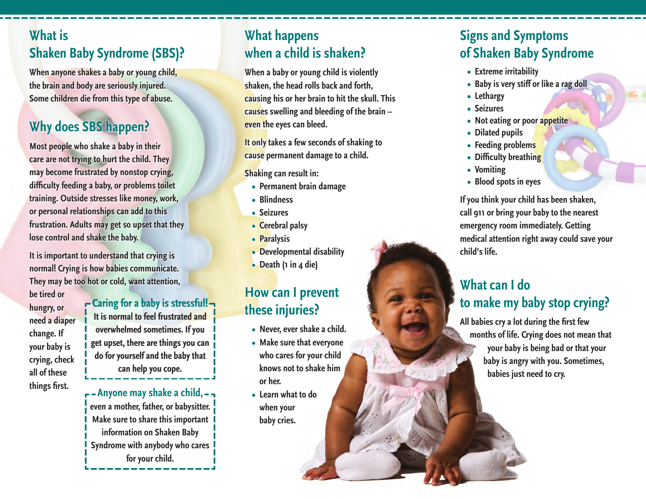## **What is Shaken Baby Syndrome (SBS)?**

**When anyone shakes a baby or young child, the brain and body are seriously injured. Some children die from this type of abuse.** 

### **Why does SBS happen?**

**Most people who shake a baby in their care are not trying to hurt the child. They may become frustrated by nonstop crying, difficulty feeding a baby, or problems toilet training. Outside stresses like money, work, or personal relationships can add to this frustration. Adults may get so upset that they lose control and shake the baby.**

**It is important to understand that crying is normal! Crying is how babies communicate. They may be too hot or cold, want attention,** 

**be tired or hungry, or need a diaper change. If your baby is crying, check all of these things first.**

#### **Caring for a baby is stressful!**

**It is normal to feel frustrated and overwhelmed sometimes. If you get upset, there are things you can do for yourself and the baby that can help you cope.**

**Anyone may shake a child, even a mother, father, or babysitter. Make sure to share this important information on Shaken Baby Syndrome with anybody who cares for your child.** 

# **What happens when a child is shaken?**

**When a baby or young child is violently shaken, the head rolls back and forth, causing his or her brain to hit the skull. This causes swelling and bleeding of the brain – even the eyes can bleed.**

**It only takes a few seconds of shaking to cause permanent damage to a child.**

**Shaking can result in:**

- **• Permanent brain damage**
- **• Blindness**
- **• Seizures**
- **• Cerebral palsy**
- **• Paralysis**
- **• Developmental disability**
- **• Death (1 in 4 die)**

# **How can I prevent these injuries?**

- **• Never, ever shake a child.**
- **• Make sure that everyone who cares for your child knows not to shake him or her.**
- **• Learn what to do when your baby cries.**

### **Signs and Symptoms of Shaken Baby Syndrome**

- **• Extreme irritability**
- **• Baby is very stiff or like a rag doll**
- **• Lethargy**
- **• Seizures**
- **• Not eating or poor appetite**
- **• Dilated pupils**
- **• Feeding problems**
- **• Difficulty breathing**
- **• Vomiting**
- **• Blood spots in eyes**

**If you think your child has been shaken, call 911 or bring your baby to the nearest emergency room immediately. Getting medical attention right away could save your child's life.**

# **What can I do to make my baby stop crying?**

**All babies cry a lot during the first few months of life. Crying does not mean that your baby is being bad or that your baby is angry with you. Sometimes, babies just need to cry.**